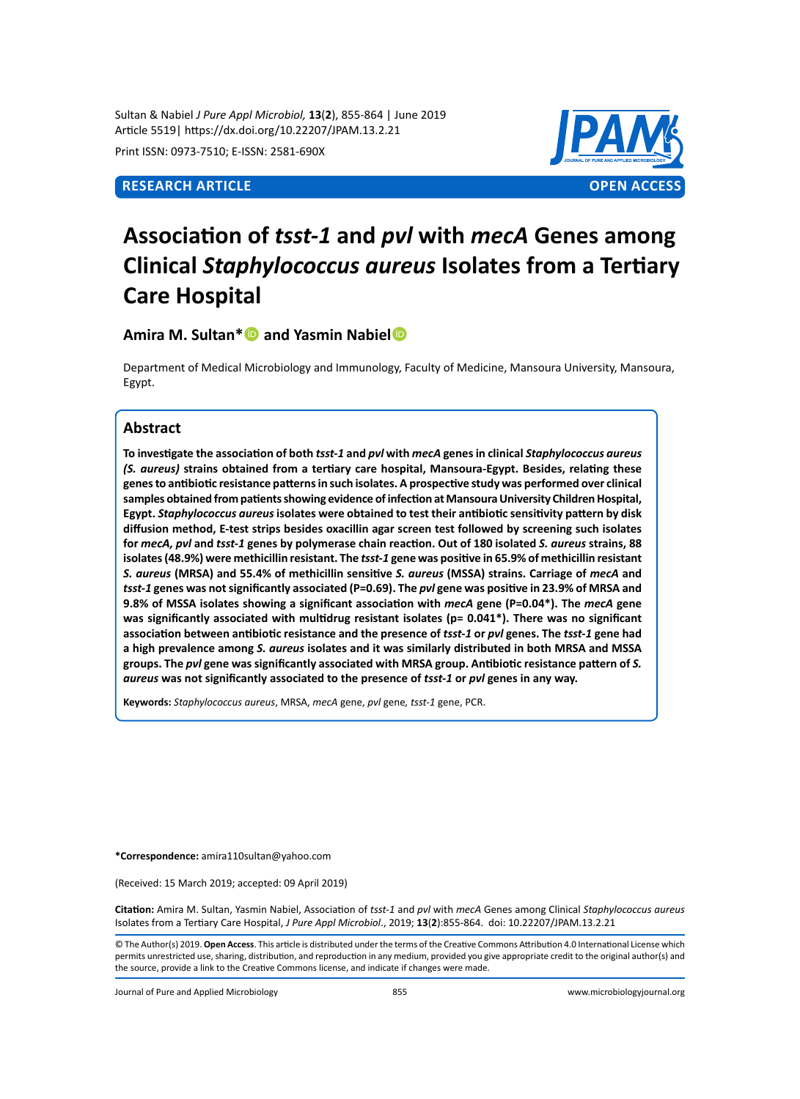Sultan & Nabiel *J Pure Appl Microbiol,* **13**(**2**), 855-864 | June 2019 Article 5519| https://dx.doi.org/10.22207/JPAM.13.2.21

Print ISSN: 0973-7510; E-ISSN: 2581-690X



# **Association of** *tsst-1* **and** *pvl* **with** *mecA* **Genes among Clinical** *Staphylococcus aureus* **Isolates from a Tertiary Care Hospital**

# **Amira M. Sultan\***<sup>**D**</sup> and Yasmin Nabiel<sup><sup>1</sup></sup>

Department of Medical Microbiology and Immunology, Faculty of Medicine, Mansoura University, Mansoura, Egypt.

# **Abstract**

**To investigate the association of both** *tsst-1* **and** *pvl* **with** *mecA* **genes in clinical** *Staphylococcus aureus (S. aureus)* **strains obtained from a tertiary care hospital, Mansoura-Egypt. Besides, relating these genes to antibiotic resistance patterns in such isolates. A prospective study was performed over clinical samples obtained from patients showing evidence of infection at Mansoura University Children Hospital, Egypt.** *Staphylococcus aureus* **isolates were obtained to test their antibiotic sensitivity pattern by disk diffusion method, E-test strips besides oxacillin agar screen test followed by screening such isolates for** *mecA, pvl* **and** *tsst-1* **genes by polymerase chain reaction. Out of 180 isolated** *S. aureus* **strains, 88 isolates (48.9%) were methicillin resistant. The** *tsst-1* **gene was positive in 65.9% of methicillin resistant**  *S. aureus* **(MRSA) and 55.4% of methicillin sensitive** *S. aureus* **(MSSA) strains. Carriage of** *mecA* **and**  *tsst-1* **genes was not significantly associated (P=0.69). The** *pvl* **gene was positive in 23.9% of MRSA and 9.8% of MSSA isolates showing a significant association with** *mecA* **gene (P=0.04\*). The** *mecA* **gene**  was significantly associated with multidrug resistant isolates (p= 0.041<sup>\*</sup>). There was no significant **association between antibiotic resistance and the presence of** *tsst-1* **or** *pvl* **genes. The** *tsst-1* **gene had a high prevalence among** *S. aureus* **isolates and it was similarly distributed in both MRSA and MSSA groups. The** *pvl* **gene was significantly associated with MRSA group. Antibiotic resistance pattern of** *S. aureus* **was not significantly associated to the presence of** *tsst-1* **or** *pvl* **genes in any way.**

**Keywords:** *Staphylococcus aureus*, MRSA, *mecA* gene, *pvl* gene*, tsst-1* gene, PCR.

**\*Correspondence:** amira110sultan@yahoo.com

(Received: 15 March 2019; accepted: 09 April 2019)

**Citation:** Amira M. Sultan, Yasmin Nabiel, Association of *tsst-1* and *pvl* with *mecA* Genes among Clinical *Staphylococcus aureus*  Isolates from a Tertiary Care Hospital, *J Pure Appl Microbiol*., 2019; **13**(**2**):855-864. doi: 10.22207/JPAM.13.2.21

© The Author(s) 2019. **Open Access**. This article is distributed under the terms of the Creative Commons Attribution 4.0 International License which permits unrestricted use, sharing, distribution, and reproduction in any medium, provided you give appropriate credit to the original author(s) and the source, provide a link to the Creative Commons license, and indicate if changes were made.

Journal of Pure and Applied Microbiology 855 www.microbiologyjournal.org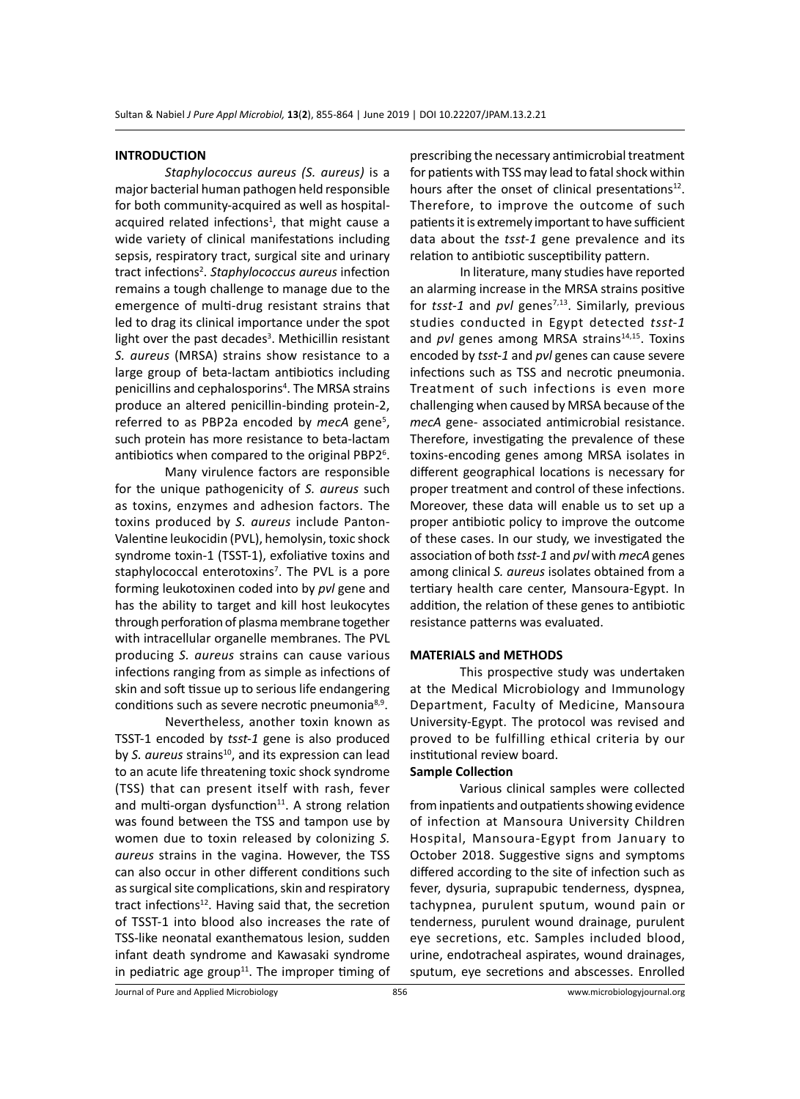#### **INTRODUCTION**

*Staphylococcus aureus (S. aureus)* is a major bacterial human pathogen held responsible for both community-acquired as well as hospitalacquired related infections<sup>1</sup>, that might cause a wide variety of clinical manifestations including sepsis, respiratory tract, surgical site and urinary tract infections<sup>2</sup> . *Staphylococcus aureus* infection remains a tough challenge to manage due to the emergence of multi-drug resistant strains that led to drag its clinical importance under the spot light over the past decades<sup>3</sup>. Methicillin resistant *S. aureus* (MRSA) strains show resistance to a large group of beta-lactam antibiotics including penicillins and cephalosporins<sup>4</sup>. The MRSA strains produce an altered penicillin-binding protein-2, referred to as PBP2a encoded by *mecA* gene5 , such protein has more resistance to beta-lactam antibiotics when compared to the original PBP2<sup>6</sup>.

Many virulence factors are responsible for the unique pathogenicity of *S. aureus* such as toxins, enzymes and adhesion factors. The toxins produced by *S. aureus* include Panton-Valentine leukocidin (PVL), hemolysin, toxic shock syndrome toxin-1 (TSST-1), exfoliative toxins and staphylococcal enterotoxins<sup>7</sup>. The PVL is a pore forming leukotoxinen coded into by *pvl* gene and has the ability to target and kill host leukocytes through perforation of plasma membrane together with intracellular organelle membranes. The PVL producing *S. aureus* strains can cause various infections ranging from as simple as infections of skin and soft tissue up to serious life endangering conditions such as severe necrotic pneumonia8,9.

Nevertheless, another toxin known as TSST-1 encoded by *tsst-1* gene is also produced by *S. aureus* strains<sup>10</sup>, and its expression can lead to an acute life threatening toxic shock syndrome (TSS) that can present itself with rash, fever and multi-organ dysfunction $11$ . A strong relation was found between the TSS and tampon use by women due to toxin released by colonizing *S. aureus* strains in the vagina. However, the TSS can also occur in other different conditions such as surgical site complications, skin and respiratory tract infections $12$ . Having said that, the secretion of TSST-1 into blood also increases the rate of TSS-like neonatal exanthematous lesion, sudden infant death syndrome and Kawasaki syndrome in pediatric age group<sup>11</sup>. The improper timing of prescribing the necessary antimicrobial treatment for patients with TSS may lead to fatal shock within hours after the onset of clinical presentations<sup>12</sup>. Therefore, to improve the outcome of such patients it is extremely important to have sufficient data about the *tsst-1* gene prevalence and its relation to antibiotic susceptibility pattern.

In literature, many studies have reported an alarming increase in the MRSA strains positive for *tsst-1* and *pvl* genes<sup>7,13</sup>. Similarly, previous studies conducted in Egypt detected *tsst-1*  and pvl genes among MRSA strains<sup>14,15</sup>. Toxins encoded by *tsst-1* and *pvl* genes can cause severe infections such as TSS and necrotic pneumonia. Treatment of such infections is even more challenging when caused by MRSA because of the *mecA* gene- associated antimicrobial resistance. Therefore, investigating the prevalence of these toxins-encoding genes among MRSA isolates in different geographical locations is necessary for proper treatment and control of these infections. Moreover, these data will enable us to set up a proper antibiotic policy to improve the outcome of these cases. In our study, we investigated the association of both *tsst-1* and *pvl* with *mecA* genes among clinical *S. aureus* isolates obtained from a tertiary health care center, Mansoura-Egypt. In addition, the relation of these genes to antibiotic resistance patterns was evaluated.

#### **MATERIALS and METHODS**

This prospective study was undertaken at the Medical Microbiology and Immunology Department, Faculty of Medicine, Mansoura University-Egypt. The protocol was revised and proved to be fulfilling ethical criteria by our institutional review board.

### **Sample Collection**

Various clinical samples were collected from inpatients and outpatients showing evidence of infection at Mansoura University Children Hospital, Mansoura-Egypt from January to October 2018. Suggestive signs and symptoms differed according to the site of infection such as fever, dysuria, suprapubic tenderness, dyspnea, tachypnea, purulent sputum, wound pain or tenderness, purulent wound drainage, purulent eye secretions, etc. Samples included blood, urine, endotracheal aspirates, wound drainages, sputum, eye secretions and abscesses. Enrolled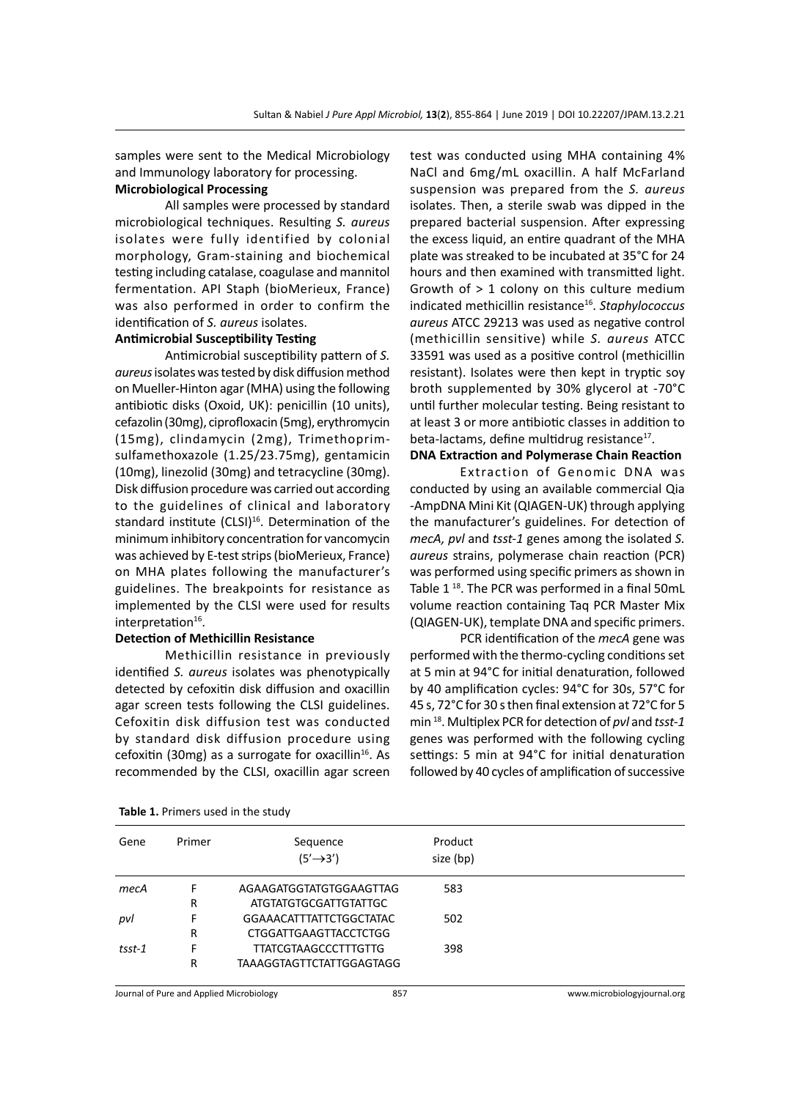samples were sent to the Medical Microbiology and Immunology laboratory for processing. **Microbiological Processing**

All samples were processed by standard microbiological techniques. Resulting *S. aureus*  isolates were fully identified by colonial morphology, Gram-staining and biochemical testing including catalase, coagulase and mannitol fermentation. API Staph (bioMerieux, France) was also performed in order to confirm the identification of *S. aureus* isolates.

#### **Antimicrobial Susceptibility Testing**

Antimicrobial susceptibility pattern of *S. aureus* isolates was tested by disk diffusion method on Mueller-Hinton agar (MHA) using the following antibiotic disks (Oxoid, UK): penicillin (10 units), cefazolin (30mg), ciprofloxacin (5mg), erythromycin (15mg), clindamycin (2mg), Trimethoprimsulfamethoxazole (1.25/23.75mg), gentamicin (10mg), linezolid (30mg) and tetracycline (30mg). Disk diffusion procedure was carried out according to the guidelines of clinical and laboratory standard institute (CLSI)<sup>16</sup>. Determination of the minimum inhibitory concentration for vancomycin was achieved by E-test strips (bioMerieux, France) on MHA plates following the manufacturer's guidelines. The breakpoints for resistance as implemented by the CLSI were used for results interpretation $16$ .

# **Detection of Methicillin Resistance**

Methicillin resistance in previously identified *S. aureus* isolates was phenotypically detected by cefoxitin disk diffusion and oxacillin agar screen tests following the CLSI guidelines. Cefoxitin disk diffusion test was conducted by standard disk diffusion procedure using cefoxitin (30mg) as a surrogate for oxacillin<sup>16</sup>. As recommended by the CLSI, oxacillin agar screen test was conducted using MHA containing 4% NaCl and 6mg/mL oxacillin. A half McFarland suspension was prepared from the *S. aureus*  isolates. Then, a sterile swab was dipped in the prepared bacterial suspension. After expressing the excess liquid, an entire quadrant of the MHA plate was streaked to be incubated at 35°C for 24 hours and then examined with transmitted light. Growth of > 1 colony on this culture medium indicated methicillin resistance16. *Staphylococcus aureus* ATCC 29213 was used as negative control (methicillin sensitive) while *S. aureus* ATCC 33591 was used as a positive control (methicillin resistant). Isolates were then kept in tryptic soy broth supplemented by 30% glycerol at -70°C until further molecular testing. Being resistant to at least 3 or more antibiotic classes in addition to beta-lactams, define multidrug resistance $17$ .

#### **DNA Extraction and Polymerase Chain Reaction**

Extraction of Genomic DNA was conducted by using an available commercial Qia -AmpDNA Mini Kit (QIAGEN-UK) through applying the manufacturer's guidelines. For detection of *mecA, pvl* and *tsst-1* genes among the isolated *S. aureus* strains, polymerase chain reaction (PCR) was performed using specific primers as shown in Table 1<sup>18</sup>. The PCR was performed in a final 50mL volume reaction containing Taq PCR Master Mix (QIAGEN-UK), template DNA and specific primers.

PCR identification of the *mecA* gene was performed with the thermo-cycling conditions set at 5 min at 94°C for initial denaturation, followed by 40 amplification cycles: 94°C for 30s, 57°C for 45 s, 72°C for 30 s then final extension at 72°C for 5 min 18. Multiplex PCR for detection of *pvl* and *tsst-1*  genes was performed with the following cycling settings: 5 min at 94°C for initial denaturation followed by 40 cycles of amplification of successive

| Gene   | Primer | Sequence<br>$(5' \rightarrow 3')$ | Product<br>size (bp) |  |
|--------|--------|-----------------------------------|----------------------|--|
| mecA   | F      | AGAAGATGGTATGTGGAAGTTAG           | 583                  |  |
|        | R      | ATGTATGTGCGATTGTATTGC             |                      |  |
| pvl    | F      | <b>GGAAACATTTATTCTGGCTATAC</b>    | 502                  |  |
|        | R      | CTGGATTGAAGTTACCTCTGG             |                      |  |
| tsst-1 | F      | <b>TTATCGTAAGCCCTTTGTTG</b>       | 398                  |  |
|        | R      | TAAAGGTAGTTCTATTGGAGTAGG          |                      |  |
|        |        |                                   |                      |  |

|  |  | Table 1. Primers used in the study |  |  |  |  |
|--|--|------------------------------------|--|--|--|--|
|--|--|------------------------------------|--|--|--|--|

Journal of Pure and Applied Microbiology 857 www.microbiologyjournal.org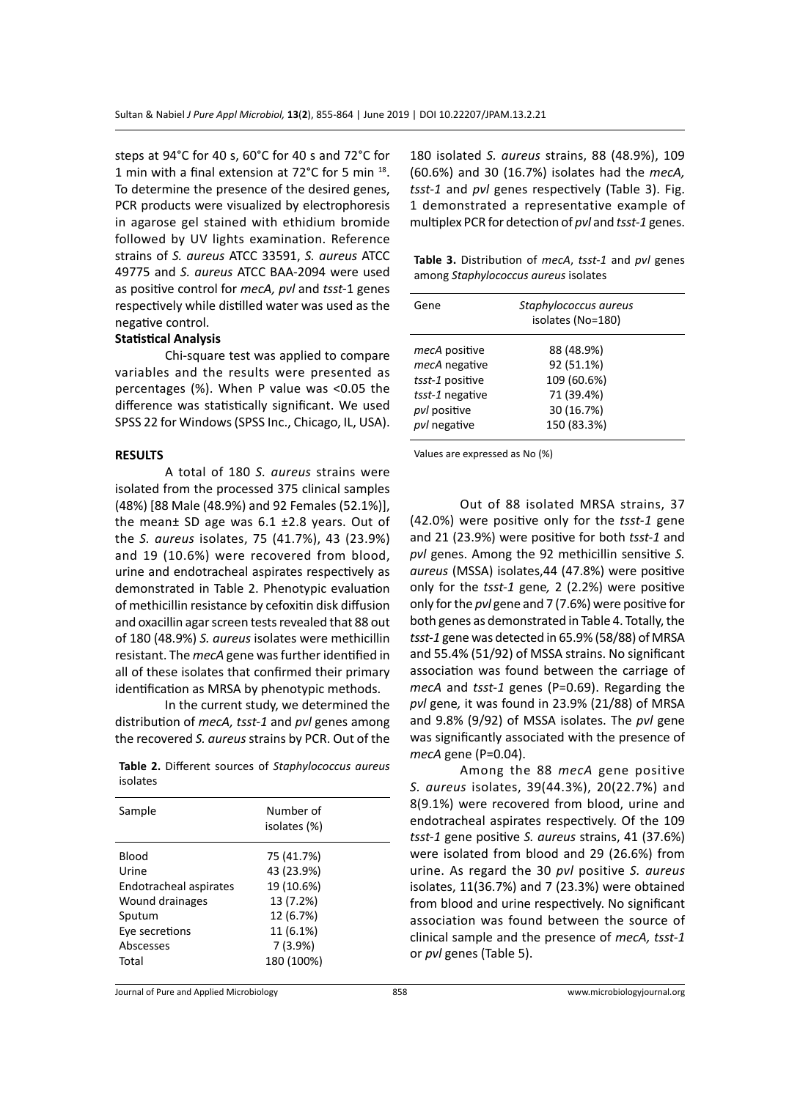steps at 94°C for 40 s, 60°C for 40 s and 72°C for 1 min with a final extension at 72°C for 5 min 18. To determine the presence of the desired genes, PCR products were visualized by electrophoresis in agarose gel stained with ethidium bromide followed by UV lights examination. Reference strains of *S. aureus* ATCC 33591, *S. aureus* ATCC 49775 and *S. aureus* ATCC BAA-2094 were used as positive control for *mecA, pvl* and *tsst-*1 genes respectively while distilled water was used as the negative control.

#### **Statistical Analysis**

Chi-square test was applied to compare variables and the results were presented as percentages (%). When P value was <0.05 the difference was statistically significant. We used SPSS 22 for Windows (SPSS Inc., Chicago, IL, USA).

#### **RESULTS**

A total of 180 *S. aureus* strains were isolated from the processed 375 clinical samples (48%) [88 Male (48.9%) and 92 Females (52.1%)], the mean $\pm$  SD age was 6.1  $\pm$ 2.8 years. Out of the *S. aureus* isolates, 75 (41.7%), 43 (23.9%) and 19 (10.6%) were recovered from blood, urine and endotracheal aspirates respectively as demonstrated in Table 2. Phenotypic evaluation of methicillin resistance by cefoxitin disk diffusion and oxacillin agar screen tests revealed that 88 out of 180 (48.9%) *S. aureus* isolates were methicillin resistant. The *mecA* gene was further identified in all of these isolates that confirmed their primary identification as MRSA by phenotypic methods.

In the current study, we determined the distribution of *mecA, tsst-1* and *pvl* genes among the recovered *S. aureus* strains by PCR. Out of the

**Table 2.** Different sources of *Staphylococcus aureus* isolates

| Sample                                                                                                        | Number of<br>isolates (%)                                                                              |  |
|---------------------------------------------------------------------------------------------------------------|--------------------------------------------------------------------------------------------------------|--|
| Blood<br>Urine<br>Endotracheal aspirates<br>Wound drainages<br>Sputum<br>Eye secretions<br>Abscesses<br>Total | 75 (41.7%)<br>43 (23.9%)<br>19 (10.6%)<br>13 (7.2%)<br>12 (6.7%)<br>11 (6.1%)<br>7(3.9%)<br>180 (100%) |  |
|                                                                                                               |                                                                                                        |  |

180 isolated *S. aureus* strains, 88 (48.9%), 109 (60.6%) and 30 (16.7%) isolates had the *mecA, tsst-1* and *pvl* genes respectively (Table 3). Fig. 1 demonstrated a representative example of multiplex PCR for detection of *pvl* and *tsst-1* genes.

| <b>Table 3.</b> Distribution of <i>mecA</i> , tsst-1 and <i>pvl</i> genes |  |
|---------------------------------------------------------------------------|--|
| among Staphylococcus aureus isolates                                      |  |

| Staphylococcus aureus<br>Gene<br>isolates (No=180)<br>88 (48.9%)<br><i>mecA</i> positive<br>92 (51.1%)<br>mecA negative<br>109 (60.6%)<br>tsst-1 positive<br>71 (39.4%)<br>tsst-1 negative<br>30 (16.7%)<br>pvl positive<br>150 (83.3%)<br>pvl negative |  |  |
|---------------------------------------------------------------------------------------------------------------------------------------------------------------------------------------------------------------------------------------------------------|--|--|
|                                                                                                                                                                                                                                                         |  |  |
|                                                                                                                                                                                                                                                         |  |  |

Values are expressed as No (%)

Out of 88 isolated MRSA strains, 37 (42.0%) were positive only for the *tsst-1* gene and 21 (23.9%) were positive for both *tsst-1* and *pvl* genes. Among the 92 methicillin sensitive *S. aureus* (MSSA) isolates,44 (47.8%) were positive only for the *tsst-1* gene*,* 2 (2.2%) were positive only for the *pvl* gene and 7 (7.6%) were positive for both genes as demonstrated in Table 4. Totally, the *tsst-1* gene was detected in 65.9% (58/88) of MRSA and 55.4% (51/92) of MSSA strains. No significant association was found between the carriage of *mecA* and *tsst-1* genes (P=0.69). Regarding the *pvl* gene*,* it was found in 23.9% (21/88) of MRSA and 9.8% (9/92) of MSSA isolates. The *pvl* gene was significantly associated with the presence of *mecA* gene (P=0.04).

Among the 88 *mecA* gene positive *S. aureus* isolates, 39(44.3%), 20(22.7%) and 8(9.1%) were recovered from blood, urine and endotracheal aspirates respectively. Of the 109 *tsst-1* gene positive *S. aureus* strains, 41 (37.6%) were isolated from blood and 29 (26.6%) from urine. As regard the 30 *pvl* positive *S. aureus*  isolates, 11(36.7%) and 7 (23.3%) were obtained from blood and urine respectively. No significant association was found between the source of clinical sample and the presence of *mecA, tsst-1* or *pvl* genes (Table 5).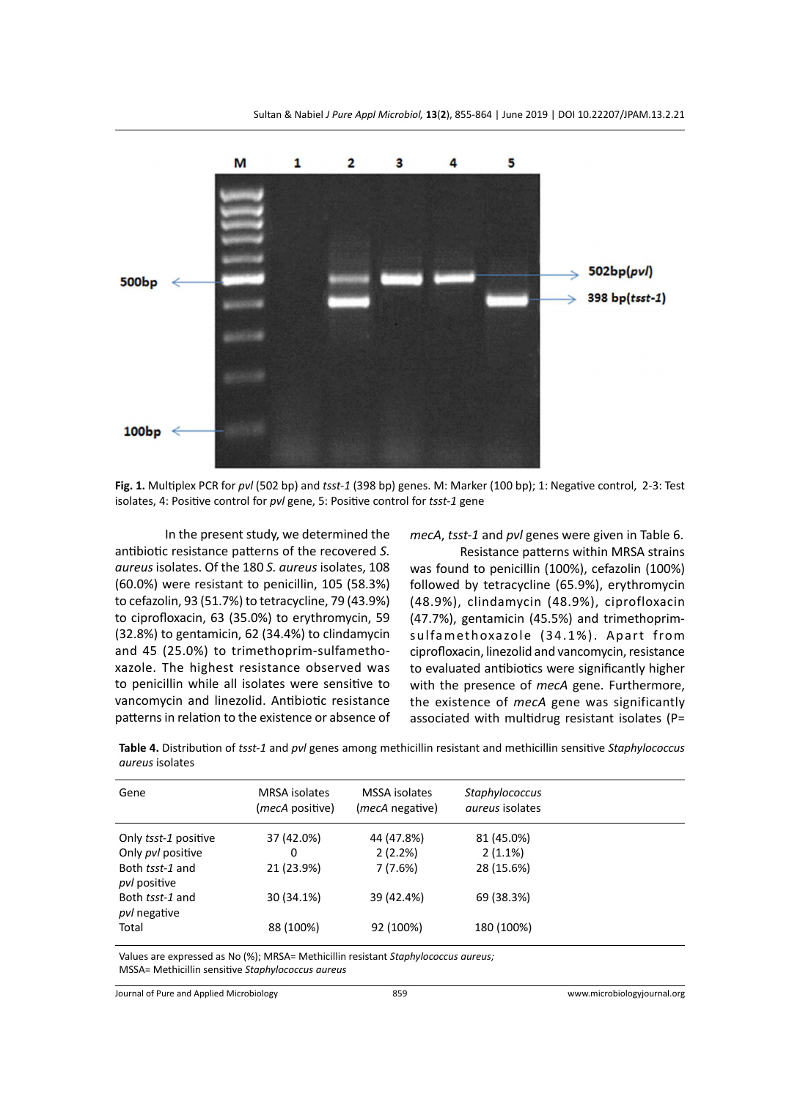

**Fig. 1.** Multiplex PCR for *pvl* (502 bp) and *tsst-1* (398 bp) genes. M: Marker (100 bp); 1: Negative control, 2-3: Test isolates, 4: Positive control for *pvl* gene, 5: Positive control for *tsst-1* gene

In the present study, we determined the antibiotic resistance patterns of the recovered *S. aureus* isolates. Of the 180 *S. aureus* isolates, 108 (60.0%) were resistant to penicillin, 105 (58.3%) to cefazolin, 93 (51.7%) to tetracycline, 79 (43.9%) to ciprofloxacin, 63 (35.0%) to erythromycin, 59 (32.8%) to gentamicin, 62 (34.4%) to clindamycin and 45 (25.0%) to trimethoprim-sulfamethoxazole. The highest resistance observed was to penicillin while all isolates were sensitive to vancomycin and linezolid. Antibiotic resistance patterns in relation to the existence or absence of

*mecA*, *tsst-1* and *pvl* genes were given in Table 6.

Resistance patterns within MRSA strains was found to penicillin (100%), cefazolin (100%) followed by tetracycline (65.9%), erythromycin (48.9%), clindamycin (48.9%), ciprofloxacin (47.7%), gentamicin (45.5%) and trimethoprimsulfamethoxazole (34.1%). Apart from ciprofloxacin, linezolid and vancomycin, resistance to evaluated antibiotics were significantly higher with the presence of *mecA* gene. Furthermore, the existence of *mecA* gene was significantly associated with multidrug resistant isolates (P=

**Table 4.** Distribution of *tsst-1* and *pvl* genes among methicillin resistant and methicillin sensitive *Staphylococcus aureus* isolates

| Gene                                   | <b>MRSA</b> isolates<br>( <i>mecA</i> positive) | MSSA isolates<br>( <i>mecA</i> negative) | Staphylococcus<br><i>aureus</i> isolates |  |
|----------------------------------------|-------------------------------------------------|------------------------------------------|------------------------------------------|--|
| Only tsst-1 positive                   | 37 (42.0%)                                      | 44 (47.8%)                               | 81 (45.0%)                               |  |
| Only pvl positive                      | 0                                               | 2(2.2%)                                  | $2(1.1\%)$                               |  |
| Both tsst-1 and<br><i>pvl</i> positive | 21 (23.9%)                                      | 7 (7.6%)                                 | 28 (15.6%)                               |  |
| Both tsst-1 and<br><i>pvl</i> negative | 30 (34.1%)                                      | 39 (42.4%)                               | 69 (38.3%)                               |  |
| Total                                  | 88 (100%)                                       | 92 (100%)                                | 180 (100%)                               |  |

Values are expressed as No (%); MRSA= Methicillin resistant *Staphylococcus aureus;* MSSA= Methicillin sensitive *Staphylococcus aureus*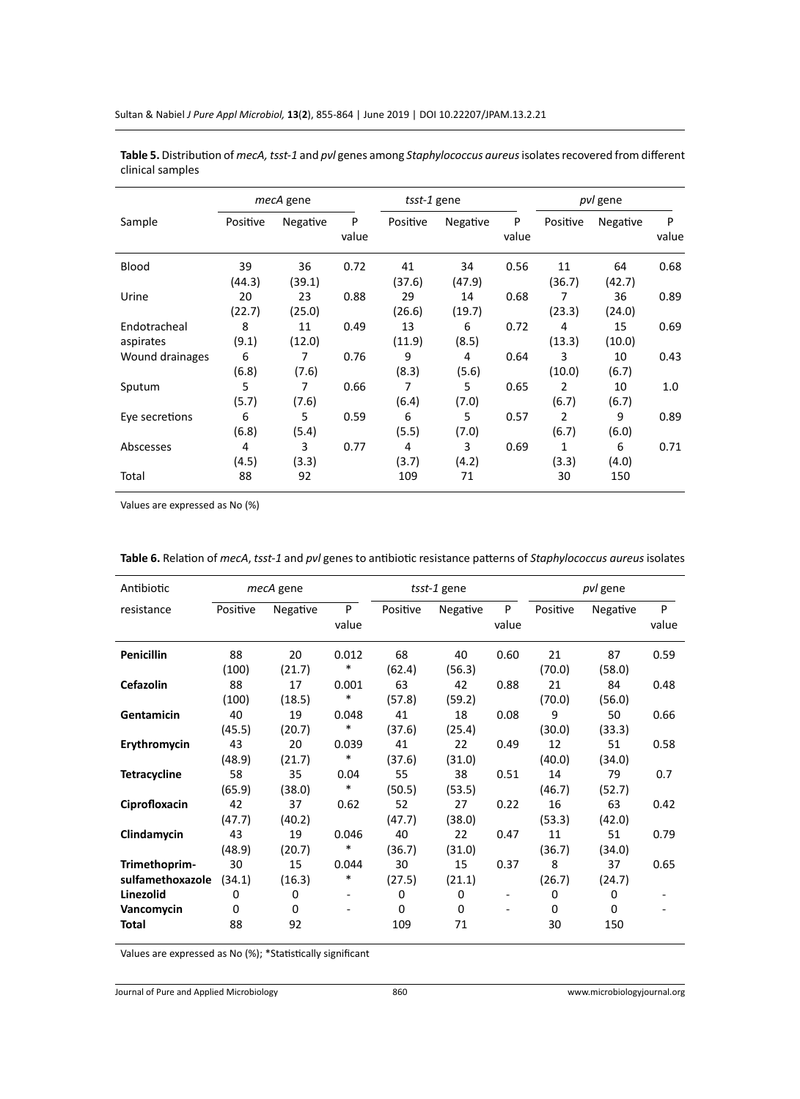| Sultan & Nabiel J Pure Appl Microbiol, 13(2), 855-864   June 2019   DOI 10.22207/JPAM.13.2.21 |  |  |  |
|-----------------------------------------------------------------------------------------------|--|--|--|
|-----------------------------------------------------------------------------------------------|--|--|--|

|                           | mecA gene    |              |            | tsst-1 gene  |              |            | pvl gene     |              |            |
|---------------------------|--------------|--------------|------------|--------------|--------------|------------|--------------|--------------|------------|
| Sample                    | Positive     | Negative     | P<br>value | Positive     | Negative     | P<br>value | Positive     | Negative     | P<br>value |
| Blood                     | 39<br>(44.3) | 36<br>(39.1) | 0.72       | 41<br>(37.6) | 34<br>(47.9) | 0.56       | 11<br>(36.7) | 64<br>(42.7) | 0.68       |
| Urine                     | 20<br>(22.7) | 23<br>(25.0) | 0.88       | 29<br>(26.6) | 14<br>(19.7) | 0.68       | 7<br>(23.3)  | 36<br>(24.0) | 0.89       |
| Endotracheal<br>aspirates | 8<br>(9.1)   | 11<br>(12.0) | 0.49       | 13<br>(11.9) | 6<br>(8.5)   | 0.72       | 4<br>(13.3)  | 15<br>(10.0) | 0.69       |
| Wound drainages           | 6<br>(6.8)   | 7<br>(7.6)   | 0.76       | 9<br>(8.3)   | 4<br>(5.6)   | 0.64       | 3<br>(10.0)  | 10<br>(6.7)  | 0.43       |
| Sputum                    | 5<br>(5.7)   | 7<br>(7.6)   | 0.66       | 7<br>(6.4)   | 5<br>(7.0)   | 0.65       | 2<br>(6.7)   | 10<br>(6.7)  | 1.0        |
| Eye secretions            | 6<br>(6.8)   | 5<br>(5.4)   | 0.59       | 6<br>(5.5)   | 5<br>(7.0)   | 0.57       | 2<br>(6.7)   | 9<br>(6.0)   | 0.89       |
| Abscesses                 | 4<br>(4.5)   | 3<br>(3.3)   | 0.77       | 4<br>(3.7)   | 3<br>(4.2)   | 0.69       | 1<br>(3.3)   | 6<br>(4.0)   | 0.71       |
| Total                     | 88           | 92           |            | 109          | 71           |            | 30           | 150          |            |

**Table 5.** Distribution of *mecA, tsst-1* and *pvl* genes among *Staphylococcus aureus* isolates recovered from different clinical samples

Values are expressed as No (%)

| Antibiotic          |          | mecA gene |                              |          | tsst-1 gene |            | pvl gene |          |            |
|---------------------|----------|-----------|------------------------------|----------|-------------|------------|----------|----------|------------|
| resistance          | Positive | Negative  | P<br>value                   | Positive | Negative    | P<br>value | Positive | Negative | P<br>value |
| Penicillin          | 88       | 20        | 0.012                        | 68       | 40          | 0.60       | 21       | 87       | 0.59       |
|                     | (100)    | (21.7)    | *                            | (62.4)   | (56.3)      |            | (70.0)   | (58.0)   |            |
| Cefazolin           | 88       | 17        | 0.001                        | 63       | 42          | 0.88       | 21       | 84       | 0.48       |
|                     | (100)    | (18.5)    | *                            | (57.8)   | (59.2)      |            | (70.0)   | (56.0)   |            |
| Gentamicin          | 40       | 19        | 0.048                        | 41       | 18          | 0.08       | 9        | 50       | 0.66       |
|                     | (45.5)   | (20.7)    | *                            | (37.6)   | (25.4)      |            | (30.0)   | (33.3)   |            |
| Erythromycin        | 43       | 20        | 0.039                        | 41       | 22          | 0.49       | 12       | 51       | 0.58       |
|                     | (48.9)   | (21.7)    | *                            | (37.6)   | (31.0)      |            | (40.0)   | (34.0)   |            |
| <b>Tetracycline</b> | 58       | 35        | 0.04                         | 55       | 38          | 0.51       | 14       | 79       | 0.7        |
|                     | (65.9)   | (38.0)    | *                            | (50.5)   | (53.5)      |            | (46.7)   | (52.7)   |            |
| Ciprofloxacin       | 42       | 37        | 0.62                         | 52       | 27          | 0.22       | 16       | 63       | 0.42       |
|                     | (47.7)   | (40.2)    |                              | (47.7)   | (38.0)      |            | (53.3)   | (42.0)   |            |
| Clindamycin         | 43       | 19        | 0.046                        | 40       | 22          | 0.47       | 11       | 51       | 0.79       |
|                     | (48.9)   | (20.7)    | *                            | (36.7)   | (31.0)      |            | (36.7)   | (34.0)   |            |
| Trimethoprim-       | 30       | 15        | 0.044                        | 30       | 15          | 0.37       | 8        | 37       | 0.65       |
| sulfamethoxazole    | (34.1)   | (16.3)    | *                            | (27.5)   | (21.1)      |            | (26.7)   | (24.7)   |            |
| Linezolid           | 0        | 0         | $\qquad \qquad \blacksquare$ | 0        | 0           |            | 0        | 0        |            |
| Vancomycin          | 0        | 0         |                              | 0        | $\Omega$    |            | 0        | 0        |            |
| <b>Total</b>        | 88       | 92        |                              | 109      | 71          |            | 30       | 150      |            |
|                     |          |           |                              |          |             |            |          |          |            |

**Table 6.** Relation of *mecA*, *tsst-1* and *pvl* genes to antibiotic resistance patterns of *Staphylococcus aureus* isolates

Values are expressed as No (%); \*Statistically significant

Journal of Pure and Applied Microbiology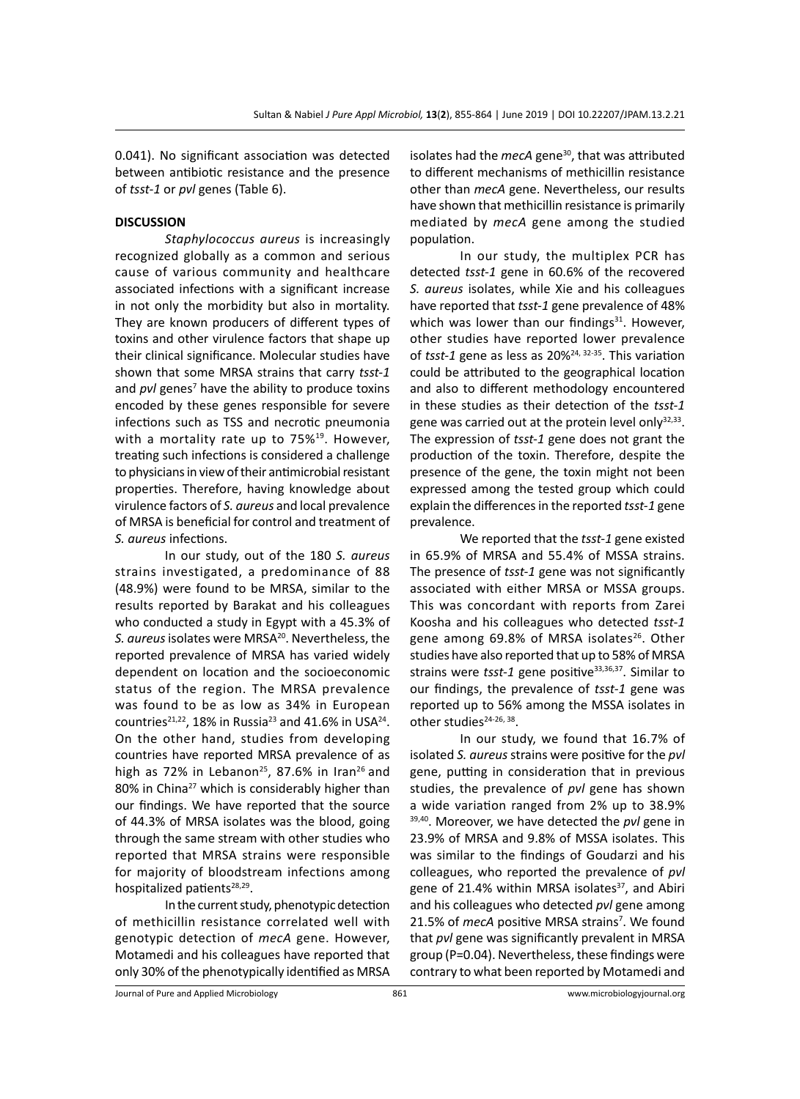0.041). No significant association was detected between antibiotic resistance and the presence of *tsst-1* or *pvl* genes (Table 6).

# **DISCUSSION**

*Staphylococcus aureus* is increasingly recognized globally as a common and serious cause of various community and healthcare associated infections with a significant increase in not only the morbidity but also in mortality. They are known producers of different types of toxins and other virulence factors that shape up their clinical significance. Molecular studies have shown that some MRSA strains that carry *tsst-1*  and pvl genes<sup>7</sup> have the ability to produce toxins encoded by these genes responsible for severe infections such as TSS and necrotic pneumonia with a mortality rate up to 75%<sup>19</sup>. However, treating such infections is considered a challenge to physicians in view of their antimicrobial resistant properties. Therefore, having knowledge about virulence factors of *S. aureus* and local prevalence of MRSA is beneficial for control and treatment of *S. aureus* infections.

In our study, out of the 180 *S. aureus* strains investigated, a predominance of 88 (48.9%) were found to be MRSA, similar to the results reported by Barakat and his colleagues who conducted a study in Egypt with a 45.3% of *S. aureus* isolates were MRSA20. Nevertheless, the reported prevalence of MRSA has varied widely dependent on location and the socioeconomic status of the region. The MRSA prevalence was found to be as low as 34% in European countries<sup>21,22</sup>, 18% in Russia<sup>23</sup> and 41.6% in USA<sup>24</sup>. On the other hand, studies from developing countries have reported MRSA prevalence of as high as 72% in Lebanon<sup>25</sup>, 87.6% in Iran<sup>26</sup> and 80% in China<sup>27</sup> which is considerably higher than our findings. We have reported that the source of 44.3% of MRSA isolates was the blood, going through the same stream with other studies who reported that MRSA strains were responsible for majority of bloodstream infections among hospitalized patients $28,29$ .

In the current study, phenotypic detection of methicillin resistance correlated well with genotypic detection of *mecA* gene. However, Motamedi and his colleagues have reported that only 30% of the phenotypically identified as MRSA isolates had the *mecA* gene<sup>30</sup>, that was attributed to different mechanisms of methicillin resistance other than *mecA* gene. Nevertheless, our results have shown that methicillin resistance is primarily mediated by *mecA* gene among the studied population.

In our study, the multiplex PCR has detected *tsst-1* gene in 60.6% of the recovered *S. aureus* isolates, while Xie and his colleagues have reported that *tsst-1* gene prevalence of 48% which was lower than our findings $31$ . However, other studies have reported lower prevalence of *tsst-1* gene as less as 20%24, 32-35. This variation could be attributed to the geographical location and also to different methodology encountered in these studies as their detection of the *tsst-1*  gene was carried out at the protein level only $32,33$ . The expression of *tsst-1* gene does not grant the production of the toxin. Therefore, despite the presence of the gene, the toxin might not been expressed among the tested group which could explain the differences in the reported *tsst-1* gene prevalence.

We reported that the *tsst-1* gene existed in 65.9% of MRSA and 55.4% of MSSA strains. The presence of *tsst-1* gene was not significantly associated with either MRSA or MSSA groups. This was concordant with reports from Zarei Koosha and his colleagues who detected *tsst-1*  gene among 69.8% of MRSA isolates<sup>26</sup>. Other studies have also reported that up to 58% of MRSA strains were *tsst-1* gene positive<sup>33,36,37</sup>. Similar to our findings, the prevalence of *tsst-1* gene was reported up to 56% among the MSSA isolates in other studies $24-26, 38$ .

In our study, we found that 16.7% of isolated *S. aureus* strains were positive for the *pvl* gene, putting in consideration that in previous studies, the prevalence of *pvl* gene has shown a wide variation ranged from 2% up to 38.9% 39,40. Moreover, we have detected the *pvl* gene in 23.9% of MRSA and 9.8% of MSSA isolates. This was similar to the findings of Goudarzi and his colleagues, who reported the prevalence of *pvl*  gene of 21.4% within MRSA isolates $37$ , and Abiri and his colleagues who detected *pvl* gene among 21.5% of *mecA* positive MRSA strains<sup>7</sup>. We found that *pvl* gene was significantly prevalent in MRSA group (P=0.04). Nevertheless, these findings were contrary to what been reported by Motamedi and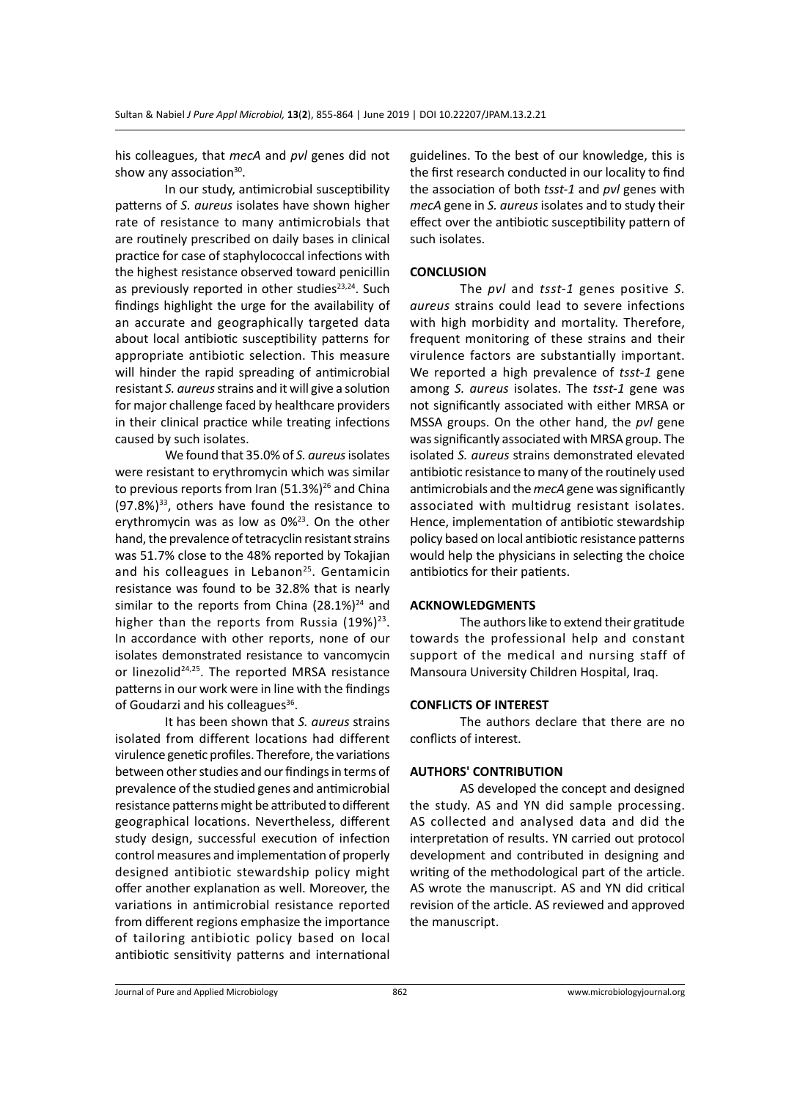his colleagues, that *mecA* and *pvl* genes did not show any association $30$ .

In our study, antimicrobial susceptibility patterns of *S. aureus* isolates have shown higher rate of resistance to many antimicrobials that are routinely prescribed on daily bases in clinical practice for case of staphylococcal infections with the highest resistance observed toward penicillin as previously reported in other studies<sup>23,24</sup>. Such findings highlight the urge for the availability of an accurate and geographically targeted data about local antibiotic susceptibility patterns for appropriate antibiotic selection. This measure will hinder the rapid spreading of antimicrobial resistant *S. aureus* strains and it will give a solution for major challenge faced by healthcare providers in their clinical practice while treating infections caused by such isolates.

We found that 35.0% of *S. aureus* isolates were resistant to erythromycin which was similar to previous reports from Iran  $(51.3%)^{26}$  and China  $(97.8\%)^{33}$ , others have found the resistance to erythromycin was as low as 0%<sup>23</sup>. On the other hand, the prevalence of tetracyclin resistant strains was 51.7% close to the 48% reported by Tokajian and his colleagues in Lebanon<sup>25</sup>. Gentamicin resistance was found to be 32.8% that is nearly similar to the reports from China  $(28.1\%)^{24}$  and higher than the reports from Russia  $(19\%)^{23}$ . In accordance with other reports, none of our isolates demonstrated resistance to vancomycin or linezolid<sup>24,25</sup>. The reported MRSA resistance patterns in our work were in line with the findings of Goudarzi and his colleagues<sup>36</sup>.

It has been shown that *S. aureus* strains isolated from different locations had different virulence genetic profiles. Therefore, the variations between other studies and our findings in terms of prevalence of the studied genes and antimicrobial resistance patterns might be attributed to different geographical locations. Nevertheless, different study design, successful execution of infection control measures and implementation of properly designed antibiotic stewardship policy might offer another explanation as well. Moreover, the variations in antimicrobial resistance reported from different regions emphasize the importance of tailoring antibiotic policy based on local antibiotic sensitivity patterns and international guidelines. To the best of our knowledge, this is the first research conducted in our locality to find the association of both *tsst-1* and *pvl* genes with *mecA* gene in *S. aureus* isolates and to study their effect over the antibiotic susceptibility pattern of such isolates.

#### **CONCLUSION**

The *pvl* and *tsst-1* genes positive *S. aureus* strains could lead to severe infections with high morbidity and mortality. Therefore, frequent monitoring of these strains and their virulence factors are substantially important. We reported a high prevalence of *tsst-1* gene among *S. aureus* isolates. The *tsst-1* gene was not significantly associated with either MRSA or MSSA groups. On the other hand, the *pvl* gene was significantly associated with MRSA group. The isolated *S. aureus* strains demonstrated elevated antibiotic resistance to many of the routinely used antimicrobials and the *mecA* gene was significantly associated with multidrug resistant isolates. Hence, implementation of antibiotic stewardship policy based on local antibiotic resistance patterns would help the physicians in selecting the choice antibiotics for their patients.

#### **ACKNOWLEDGMENTS**

The authors like to extend their gratitude towards the professional help and constant support of the medical and nursing staff of Mansoura University Children Hospital, Iraq.

#### **CONFLICTS OF INTEREST**

The authors declare that there are no conflicts of interest.

#### **AUTHORS' CONTRIBUTION**

AS developed the concept and designed the study. AS and YN did sample processing. AS collected and analysed data and did the interpretation of results. YN carried out protocol development and contributed in designing and writing of the methodological part of the article. AS wrote the manuscript. AS and YN did critical revision of the article. AS reviewed and approved the manuscript.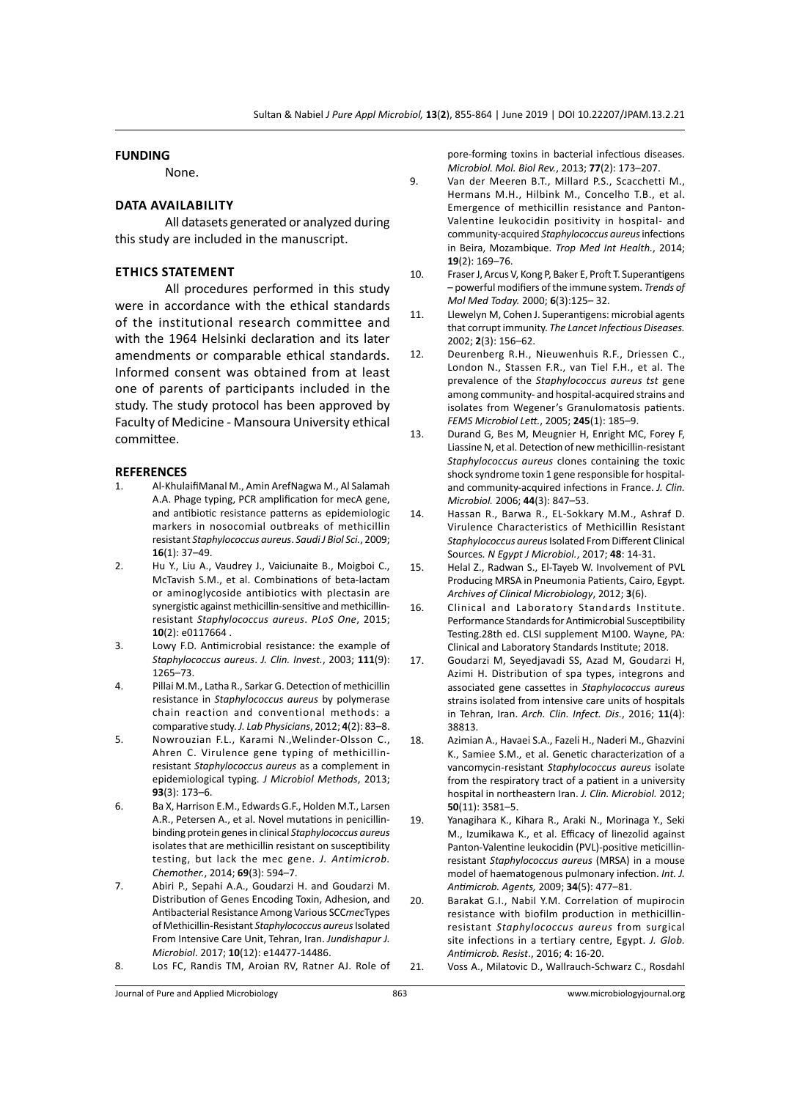# **FUNDING**

None.

### **Data availability**

All datasets generated or analyzed during this study are included in the manuscript.

# **Ethics Statement**

All procedures performed in this study were in accordance with the ethical standards of the institutional research committee and with the 1964 Helsinki declaration and its later amendments or comparable ethical standards. Informed consent was obtained from at least one of parents of participants included in the study. The study protocol has been approved by Faculty of Medicine - Mansoura University ethical committee.

#### **REFERENCES**

- 1. Al-KhulaifiManal M., Amin ArefNagwa M., Al Salamah A.A. Phage typing, PCR amplification for mecA gene, and antibiotic resistance patterns as epidemiologic markers in nosocomial outbreaks of methicillin resistant *Staphylococcus aureus*. *Saudi J Biol Sci.*, 2009; **16**(1): 37–49.
- 2. Hu Y., Liu A., Vaudrey J., Vaiciunaite B., Moigboi C., McTavish S.M., et al. Combinations of beta-lactam or aminoglycoside antibiotics with plectasin are synergistic against methicillin-sensitive and methicillinresistant *Staphylococcus aureus*. *PLoS One*, 2015; **10**(2): e0117664 .
- 3. Lowy F.D. Antimicrobial resistance: the example of *Staphylococcus aureus*. *J. Clin. Invest.*, 2003; **111**(9): 1265–73.
- 4. Pillai M.M., Latha R., Sarkar G. Detection of methicillin resistance in *Staphylococcus aureus* by polymerase chain reaction and conventional methods: a comparative study. *J. Lab Physicians*, 2012; **4**(2): 83–8.
- 5. Nowrouzian F.L., Karami N.,Welinder-Olsson C., Ahren C. Virulence gene typing of methicillinresistant *Staphylococcus aureus* as a complement in epidemiological typing. *J Microbiol Methods*, 2013; **93**(3): 173–6.
- 6. Ba X, Harrison E.M., Edwards G.F., Holden M.T., Larsen A.R., Petersen A., et al. Novel mutations in penicillinbinding protein genes in clinical *Staphylococcus aureus* isolates that are methicillin resistant on susceptibility testing, but lack the mec gene. *J. Antimicrob. Chemother.*, 2014; **69**(3): 594–7.
- 7. Abiri P., Sepahi A.A., Goudarzi H. and Goudarzi M. Distribution of Genes Encoding Toxin, Adhesion, and Antibacterial Resistance Among Various SCC*mec*Types of Methicillin-Resistant *Staphylococcus aureus* Isolated From Intensive Care Unit, Tehran, Iran. *Jundishapur J. Microbiol*. 2017; **10**(12): e14477-14486.
- 8. Los FC, Randis TM, Aroian RV, Ratner AJ. Role of

pore-forming toxins in bacterial infectious diseases. *Microbiol. Mol. Biol Rev.*, 2013; **77**(2): 173–207.

- 9. Van der Meeren B.T., Millard P.S., Scacchetti M., Hermans M.H., Hilbink M., Concelho T.B., et al. Emergence of methicillin resistance and Panton-Valentine leukocidin positivity in hospital- and community-acquired *Staphylococcus aureus* infections in Beira, Mozambique. *Trop Med Int Health.*, 2014; **19**(2): 169–76.
- 10. Fraser J, Arcus V, Kong P, Baker E, Proft T. Superantigens – powerful modifiers of the immune system. *Trends of Mol Med Today.* 2000; **6**(3):125– 32.
- 11. Llewelyn M, Cohen J. Superantigens: microbial agents that corrupt immunity. *The Lancet Infectious Diseases.*  2002; **2**(3): 156–62.
- 12. Deurenberg R.H., Nieuwenhuis R.F., Driessen C., London N., Stassen F.R., van Tiel F.H., et al. The prevalence of the *Staphylococcus aureus tst* gene among community- and hospital-acquired strains and isolates from Wegener's Granulomatosis patients. *FEMS Microbiol Lett.*, 2005; **245**(1): 185–9.
- 13. Durand G, Bes M, Meugnier H, Enright MC, Forey F, Liassine N, et al. Detection of new methicillin-resistant *Staphylococcus aureus* clones containing the toxic shock syndrome toxin 1 gene responsible for hospitaland community-acquired infections in France. *J. Clin. Microbiol.* 2006; **44**(3): 847–53.
- 14. Hassan R., Barwa R., EL-Sokkary M.M., Ashraf D. Virulence Characteristics of Methicillin Resistant *Staphylococcus aureus* Isolated From Different Clinical Sources*. N Egypt J Microbiol.*, 2017; **48**: 14-31.
- 15. Helal Z., Radwan S., El-Tayeb W. Involvement of PVL Producing MRSA in Pneumonia Patients, Cairo, Egypt. *Archives of Clinical Microbiology*, 2012; **3**(6).
- 16. Clinical and Laboratory Standards Institute. Performance Standards for Antimicrobial Susceptibility Testing.28th ed. CLSI supplement M100. Wayne, PA: Clinical and Laboratory Standards Institute; 2018.
- 17. Goudarzi M, Seyedjavadi SS, Azad M, Goudarzi H, Azimi H. Distribution of spa types, integrons and associated gene cassettes in *Staphylococcus aureus*  strains isolated from intensive care units of hospitals in Tehran, Iran. *Arch. Clin. Infect. Dis.*, 2016; **11**(4): 38813.
- 18. Azimian A., Havaei S.A., Fazeli H., Naderi M., Ghazvini K., Samiee S.M., et al. Genetic characterization of a vancomycin-resistant *Staphylococcus aureus* isolate from the respiratory tract of a patient in a university hospital in northeastern Iran. *J. Clin. Microbiol.* 2012; **50**(11): 3581–5.
- 19. Yanagihara K., Kihara R., Araki N., Morinaga Y., Seki M., Izumikawa K., et al. Efficacy of linezolid against Panton-Valentine leukocidin (PVL)-positive meticillinresistant *Staphylococcus aureus* (MRSA) in a mouse model of haematogenous pulmonary infection. *Int. J. Antimicrob. Agents,* 2009; **34**(5): 477–81.
- 20. Barakat G.I., Nabil Y.M. Correlation of mupirocin resistance with biofilm production in methicillinresistant *Staphylococcus aureus* from surgical site infections in a tertiary centre, Egypt. *J. Glob. Antimicrob. Resist*., 2016; **4**: 16-20.
- 21. Voss A., Milatovic D., Wallrauch-Schwarz C., Rosdahl